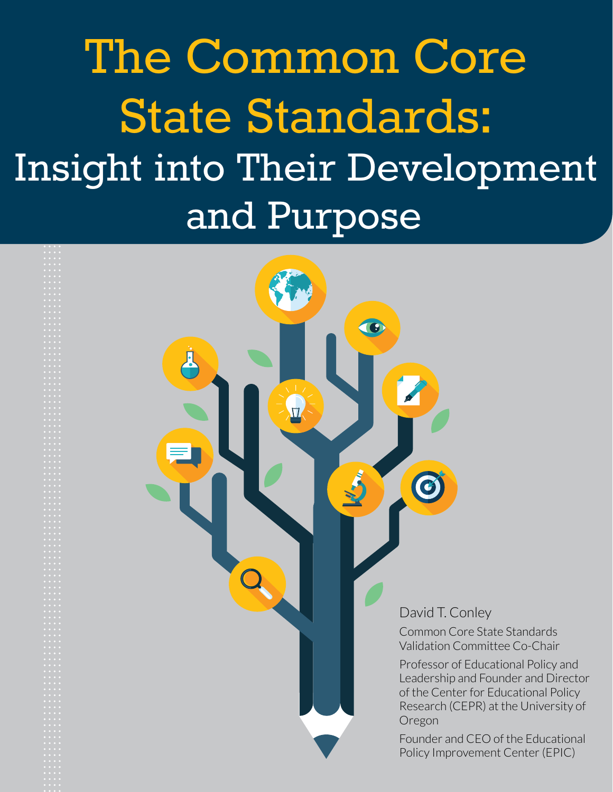The Common Core State Standards: Insight into Their Development and Purpose

 $\mathbb{U}$ 

G

David T. Conley

C

Common Core State Standards Validation Committee Co-Chair

Professor of Educational Policy and Leadership and Founder and Director of the Center for Educational Policy Research (CEPR) at the University of Oregon

Founder and CEO of the Educational Policy Improvement Center (EPIC)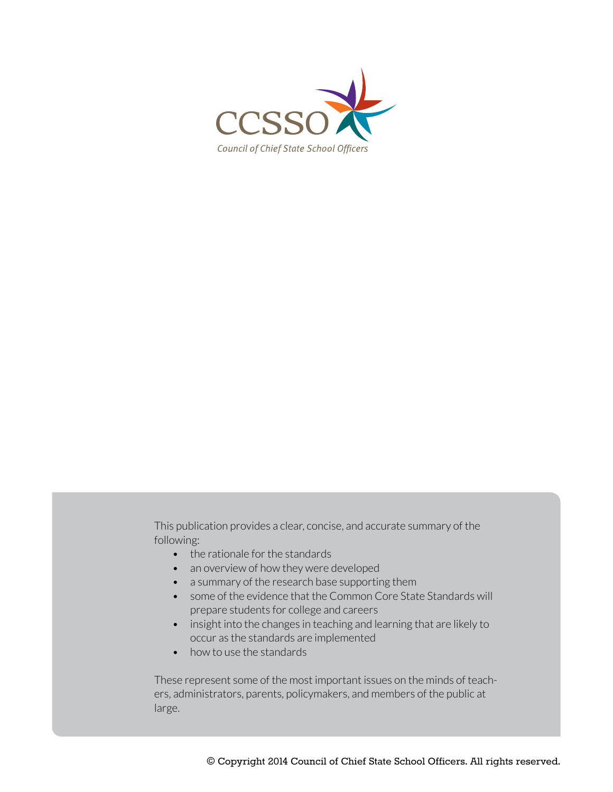

This publication provides a clear, concise, and accurate summary of the following:

- the rationale for the standards
- an overview of how they were developed
- a summary of the research base supporting them
- some of the evidence that the Common Core State Standards will prepare students for college and careers
- insight into the changes in teaching and learning that are likely to occur as the standards are implemented
- how to use the standards

These represent some of the most important issues on the minds of teachers, administrators, parents, policymakers, and members of the public at large.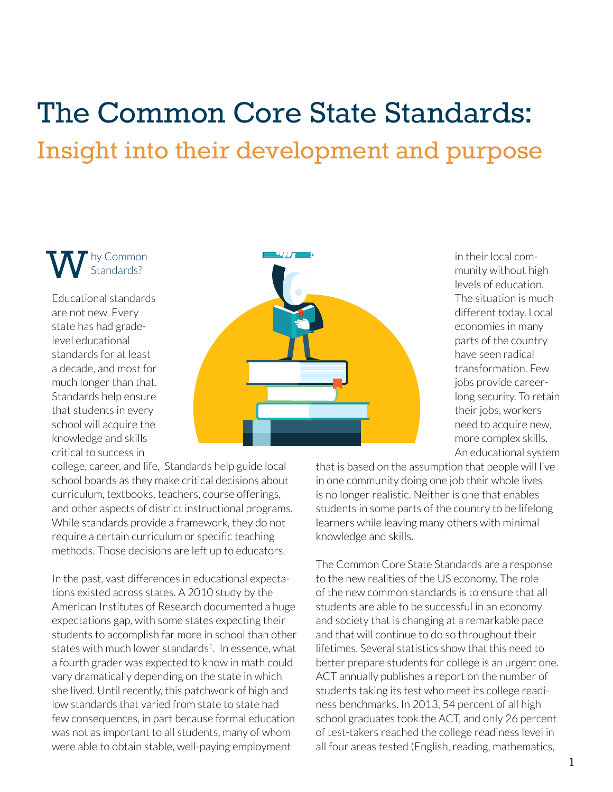# The Common Core State Standards: Insight into their development and purpose

hy Common Standards? W

Educational standards are not new. Every state has had gradelevel educational standards for at least a decade, and most for much longer than that. Standards help ensure that students in every school will acquire the knowledge and skills critical to success in



in their local community without high levels of education. The situation is much different today. Local economies in many parts of the country have seen radical transformation. Few jobs provide careerlong security. To retain their jobs, workers need to acquire new, more complex skills. An educational system

college, career, and life. Standards help guide local school boards as they make critical decisions about curriculum, textbooks, teachers, course offerings, and other aspects of district instructional programs. While standards provide a framework, they do not require a certain curriculum or specific teaching methods. Those decisions are left up to educators.

In the past, vast differences in educational expectations existed across states. A 2010 study by the American Institutes of Research documented a huge expectations gap, with some states expecting their students to accomplish far more in school than other states with much lower standards $1$ . In essence, what a fourth grader was expected to know in math could vary dramatically depending on the state in which she lived. Until recently, this patchwork of high and low standards that varied from state to state had few consequences, in part because formal education was not as important to all students, many of whom were able to obtain stable, well-paying employment

that is based on the assumption that people will live in one community doing one job their whole lives is no longer realistic. Neither is one that enables students in some parts of the country to be lifelong learners while leaving many others with minimal knowledge and skills.

The Common Core State Standards are a response to the new realities of the US economy. The role of the new common standards is to ensure that all students are able to be successful in an economy and society that is changing at a remarkable pace and that will continue to do so throughout their lifetimes. Several statistics show that this need to better prepare students for college is an urgent one. ACT annually publishes a report on the number of students taking its test who meet its college readiness benchmarks. In 2013, 54 percent of all high school graduates took the ACT, and only 26 percent of test-takers reached the college readiness level in all four areas tested (English, reading, mathematics,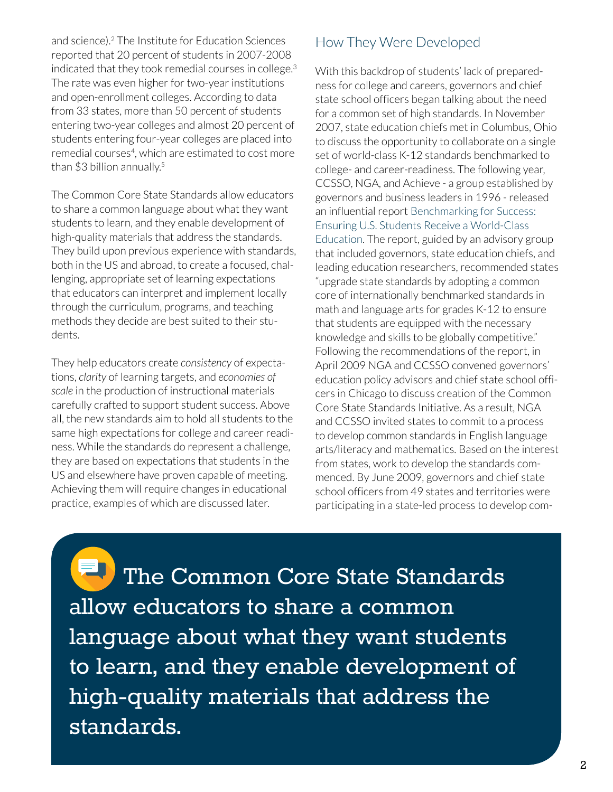and science).[2](#page-9-0) The Institute for Education Sciences reported that 20 percent of students in 2007-2008 indicated that they took remedial courses in college.<sup>[3](#page-9-1)</sup> The rate was even higher for two-year institutions and open-enrollment colleges. According to data from 33 states, more than 50 percent of students entering two-year colleges and almost 20 percent of students entering four-year colleges are placed into remedial courses<sup>4</sup>, which are estimated to cost more than \$3 billion annually.<sup>5</sup>

The Common Core State Standards allow educators to share a common language about what they want students to learn, and they enable development of high-quality materials that address the standards. They build upon previous experience with standards, both in the US and abroad, to create a focused, challenging, appropriate set of learning expectations that educators can interpret and implement locally through the curriculum, programs, and teaching methods they decide are best suited to their students.

They help educators create *consistency* of expectations, *clarity* of learning targets, and *economies of scale* in the production of instructional materials carefully crafted to support student success. Above all, the new standards aim to hold all students to the same high expectations for college and career readiness. While the standards do represent a challenge, they are based on expectations that students in the US and elsewhere have proven capable of meeting. Achieving them will require changes in educational practice, examples of which are discussed later.

#### How They Were Developed

With this backdrop of students' lack of preparedness for college and careers, governors and chief state school officers began talking about the need for a common set of high standards. In November 2007, state education chiefs met in Columbus, Ohio to discuss the opportunity to collaborate on a single set of world-class K-12 standards benchmarked to college- and career-readiness. The following year, CCSSO, NGA, and Achieve - a group established by governors and business leaders in 1996 - released an influential report [Benchmarking](http://www.edweek.org/media/benchmakring for success dec 2008 final.pdf) for Success: [Ensuring U.S. Students Receive a World-Class](http://www.edweek.org/media/benchmakring for success dec 2008 final.pdf)  [Education](http://www.edweek.org/media/benchmakring for success dec 2008 final.pdf). The report, guided by an advisory group that included governors, state education chiefs, and leading education researchers, recommended states "upgrade state standards by adopting a common core of internationally benchmarked standards in math and language arts for grades K-12 to ensure that students are equipped with the necessary knowledge and skills to be globally competitive." Following the recommendations of the report, in April 2009 NGA and CCSSO convened governors' education policy advisors and chief state school officers in Chicago to discuss creation of the Common Core State Standards Initiative. As a result, NGA and CCSSO invited states to commit to a process to develop common standards in English language arts/literacy and mathematics. Based on the interest from states, work to develop the standards commenced. By June 2009, governors and chief state school officers from 49 states and territories were participating in a state-led process to develop com-

 The Common Core State Standards allow educators to share a common language about what they want students to learn, and they enable development of high-quality materials that address the standards.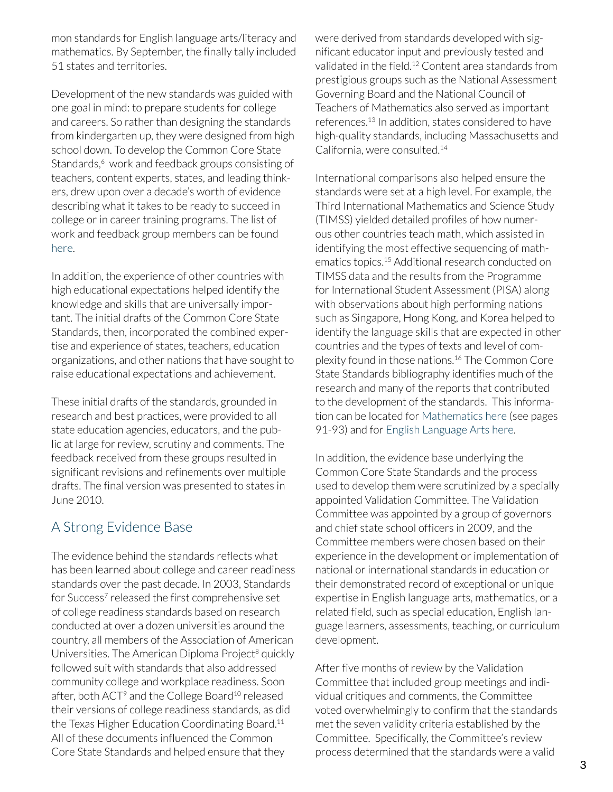mon standards for English language arts/literacy and mathematics. By September, the finally tally included 51 states and territories.

Development of the new standards was guided with one goal in mind: to prepare students for college and careers. So rather than designing the standards from kindergarten up, they were designed from high school down. To develop the Common Core State Standards,<sup>6</sup> work and feedback groups consisting of teachers, content experts, states, and leading thinkers, drew upon over a decade's worth of evidence describing what it takes to be ready to succeed in college or in career training programs. The list of work and feedback group members can be found [here.](http://www.nga.org/files/live/sites/NGA/files/pdf/2010COMMONCOREK12TEAM.PDF)

In addition, the experience of other countries with high educational expectations helped identify the knowledge and skills that are universally important. The initial drafts of the Common Core State Standards, then, incorporated the combined expertise and experience of states, teachers, education organizations, and other nations that have sought to raise educational expectations and achievement.

These initial drafts of the standards, grounded in research and best practices, were provided to all state education agencies, educators, and the public at large for review, scrutiny and comments. The feedback received from these groups resulted in significant revisions and refinements over multiple drafts. The final version was presented to states in June 2010.

## A Strong Evidence Base

The evidence behind the standards reflects what has been learned about college and career readiness standards over the past decade. In 2003, Standards for Success<sup>7</sup> released the first comprehensive set of college readiness standards based on research conducted at over a dozen universities around the country, all members of the Association of American Universities. The American Diploma Project<sup>8</sup> quickly followed suit with standards that also addressed community college and workplace readiness. Soon after, both ACT<sup>9</sup> and the College Board<sup>10</sup> released their versions of college readiness standards, as did the Texas Higher Education Coordinating Board.<sup>11</sup> All of these documents influenced the Common Core State Standards and helped ensure that they

were derived from standards developed with significant educator input and previously tested and validated in the field.12 Content area standards from prestigious groups such as the National Assessment Governing Board and the National Council of Teachers of Mathematics also served as important references.13 In addition, states considered to have high-quality standards, including Massachusetts and California, were consulted.<sup>14</sup>

International comparisons also helped ensure the standards were set at a high level. For example, the Third International Mathematics and Science Study (TIMSS) yielded detailed profiles of how numerous other countries teach math, which assisted in identifying the most effective sequencing of mathematics topics.15 Additional research conducted on TIMSS data and the results from the Programme for International Student Assessment (PISA) along with observations about high performing nations such as Singapore, Hong Kong, and Korea helped to identify the language skills that are expected in other countries and the types of texts and level of complexity found in those nations.16 The Common Core State Standards bibliography identifies much of the research and many of the reports that contributed to the development of the standards. This information can be located for [Mathematics here](http://www.corestandards.org/assets/CCSSI_Math Standards.pdf) (see pages 91-93) and for [English Language Arts here](http://www.corestandards.org/assets/Appendix_A.pdf).

In addition, the evidence base underlying the Common Core State Standards and the process used to develop them were scrutinized by a specially appointed Validation Committee. The Validation Committee was appointed by a group of governors and chief state school officers in 2009, and the Committee members were chosen based on their experience in the development or implementation of national or international standards in education or their demonstrated record of exceptional or unique expertise in English language arts, mathematics, or a related field, such as special education, English language learners, assessments, teaching, or curriculum development.

After five months of review by the Validation Committee that included group meetings and individual critiques and comments, the Committee voted overwhelmingly to confirm that the standards met the seven validity criteria established by the Committee. Specifically, the Committee's review process determined that the standards were a valid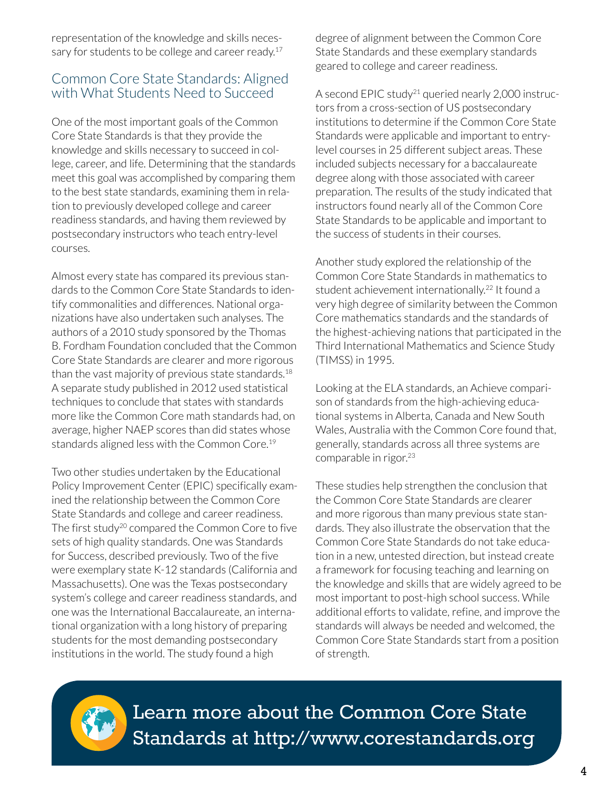representation of the knowledge and skills necessary for students to be college and career ready.<sup>17</sup>

#### Common Core State Standards: Aligned with What Students Need to Succeed

One of the most important goals of the Common Core State Standards is that they provide the knowledge and skills necessary to succeed in college, career, and life. Determining that the standards meet this goal was accomplished by comparing them to the best state standards, examining them in relation to previously developed college and career readiness standards, and having them reviewed by postsecondary instructors who teach entry-level courses.

Almost every state has compared its previous standards to the Common Core State Standards to identify commonalities and differences. National organizations have also undertaken such analyses. The authors of a 2010 study sponsored by the Thomas B. Fordham Foundation concluded that the Common Core State Standards are clearer and more rigorous than the vast majority of previous state standards.<sup>18</sup> A separate study published in 2012 used statistical techniques to conclude that states with standards more like the Common Core math standards had, on average, higher NAEP scores than did states whose standards aligned less with the Common Core.<sup>19</sup>

Two other studies undertaken by the Educational Policy Improvement Center (EPIC) specifically examined the relationship between the Common Core State Standards and college and career readiness. The first study<sup>20</sup> compared the Common Core to five sets of high quality standards. One was Standards for Success, described previously. Two of the five were exemplary state K-12 standards (California and Massachusetts). One was the Texas postsecondary system's college and career readiness standards, and one was the International Baccalaureate, an international organization with a long history of preparing students for the most demanding postsecondary institutions in the world. The study found a high

degree of alignment between the Common Core State Standards and these exemplary standards geared to college and career readiness.

A second EPIC study<sup>21</sup> queried nearly 2,000 instructors from a cross-section of US postsecondary institutions to determine if the Common Core State Standards were applicable and important to entrylevel courses in 25 different subject areas. These included subjects necessary for a baccalaureate degree along with those associated with career preparation. The results of the study indicated that instructors found nearly all of the Common Core State Standards to be applicable and important to the success of students in their courses.

Another study explored the relationship of the Common Core State Standards in mathematics to student achievement internationally.<sup>22</sup> It found a very high degree of similarity between the Common Core mathematics standards and the standards of the highest-achieving nations that participated in the Third International Mathematics and Science Study (TIMSS) in 1995.

Looking at the ELA standards, an Achieve comparison of standards from the high-achieving educational systems in Alberta, Canada and New South Wales, Australia with the Common Core found that, generally, standards across all three systems are comparable in rigor.<sup>23</sup>

These studies help strengthen the conclusion that the Common Core State Standards are clearer and more rigorous than many previous state standards. They also illustrate the observation that the Common Core State Standards do not take education in a new, untested direction, but instead create a framework for focusing teaching and learning on the knowledge and skills that are widely agreed to be most important to post-high school success. While additional efforts to validate, refine, and improve the standards will always be needed and welcomed, the Common Core State Standards start from a position of strength.



Learn more about the Common Core State Standards at <http://www.corestandards.org>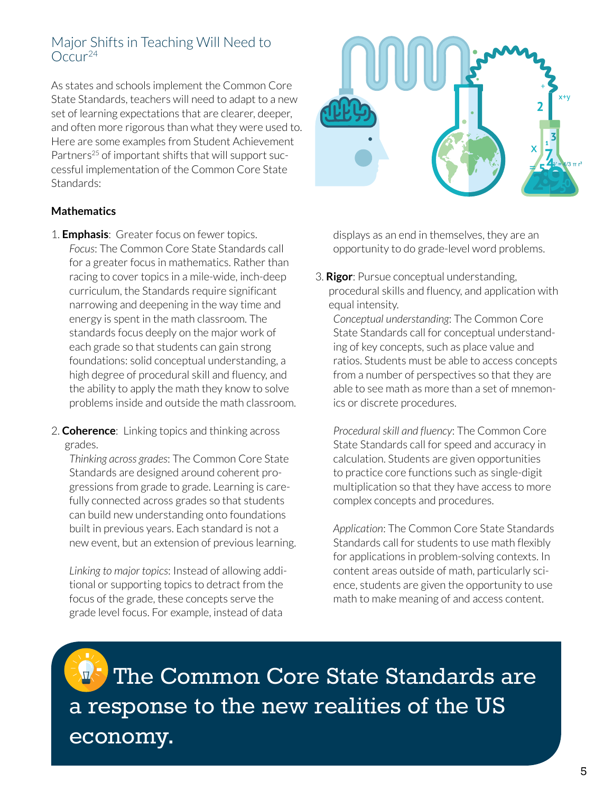### Major Shifts in Teaching Will Need to  $O<sub>CCU</sub>$ <sup>24</sup>

As states and schools implement the Common Core State Standards, teachers will need to adapt to a new set of learning expectations that are clearer, deeper, and often more rigorous than what they were used to. Here are some examples from Student Achievement Partners<sup>25</sup> of important shifts that will support successful implementation of the Common Core State Standards:

#### **Mathematics**

- 1. **Emphasis**: Greater focus on fewer topics. *Focus*: The Common Core State Standards call for a greater focus in mathematics. Rather than racing to cover topics in a mile-wide, inch-deep curriculum, the Standards require significant narrowing and deepening in the way time and energy is spent in the math classroom. The standards focus deeply on the major work of each grade so that students can gain strong foundations: solid conceptual understanding, a high degree of procedural skill and fluency, and the ability to apply the math they know to solve problems inside and outside the math classroom.
- 2. **Coherence**: Linking topics and thinking across grades.

*Thinking across grades*: The Common Core State Standards are designed around coherent progressions from grade to grade. Learning is carefully connected across grades so that students can build new understanding onto foundations built in previous years. Each standard is not a new event, but an extension of previous learning.

*Linking to major topics*: Instead of allowing additional or supporting topics to detract from the focus of the grade, these concepts serve the grade level focus. For example, instead of data



displays as an end in themselves, they are an opportunity to do grade-level word problems.

3. **Rigor**: Pursue conceptual understanding, procedural skills and fluency, and application with equal intensity.

*Conceptual understanding*: The Common Core State Standards call for conceptual understanding of key concepts, such as place value and ratios. Students must be able to access concepts from a number of perspectives so that they are able to see math as more than a set of mnemonics or discrete procedures.

*Procedural skill and fluency*: The Common Core State Standards call for speed and accuracy in calculation. Students are given opportunities to practice core functions such as single-digit multiplication so that they have access to more complex concepts and procedures.

*Application*: The Common Core State Standards Standards call for students to use math flexibly for applications in problem-solving contexts. In content areas outside of math, particularly science, students are given the opportunity to use math to make meaning of and access content.

 The Common Core State Standards are a response to the new realities of the US economy.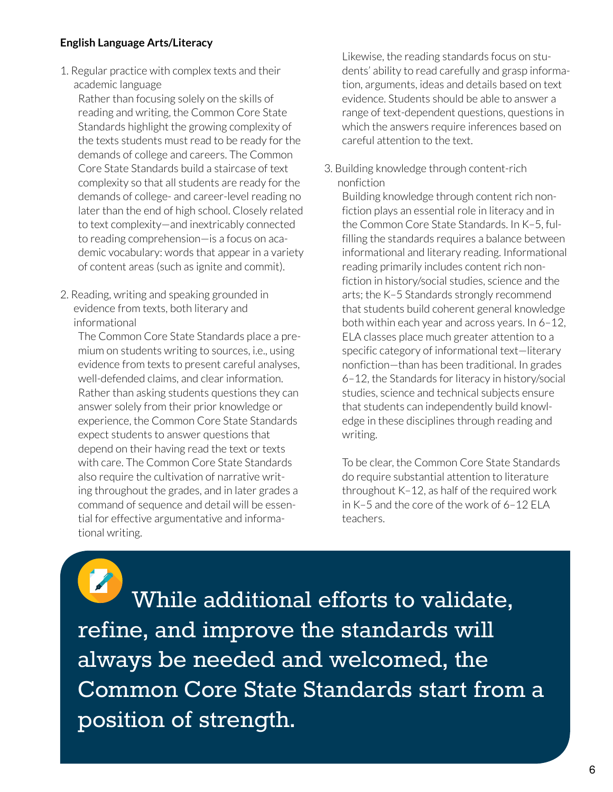#### **English Language Arts/Literacy**

1. Regular practice with complex texts and their academic language

Rather than focusing solely on the skills of reading and writing, the Common Core State Standards highlight the growing complexity of the texts students must read to be ready for the demands of college and careers. The Common Core State Standards build a staircase of text complexity so that all students are ready for the demands of college- and career-level reading no later than the end of high school. Closely related to text complexity—and inextricably connected to reading comprehension—is a focus on academic vocabulary: words that appear in a variety of content areas (such as ignite and commit).

2. Reading, writing and speaking grounded in evidence from texts, both literary and informational

The Common Core State Standards place a premium on students writing to sources, i.e., using evidence from texts to present careful analyses, well-defended claims, and clear information. Rather than asking students questions they can answer solely from their prior knowledge or experience, the Common Core State Standards expect students to answer questions that depend on their having read the text or texts with care. The Common Core State Standards also require the cultivation of narrative writing throughout the grades, and in later grades a command of sequence and detail will be essential for effective argumentative and informational writing.

Likewise, the reading standards focus on students' ability to read carefully and grasp information, arguments, ideas and details based on text evidence. Students should be able to answer a range of text-dependent questions, questions in which the answers require inferences based on careful attention to the text.

3. Building knowledge through content-rich nonfiction

Building knowledge through content rich nonfiction plays an essential role in literacy and in the Common Core State Standards. In K–5, fulfilling the standards requires a balance between informational and literary reading. Informational reading primarily includes content rich nonfiction in history/social studies, science and the arts; the K–5 Standards strongly recommend that students build coherent general knowledge both within each year and across years. In 6–12, ELA classes place much greater attention to a specific category of informational text—literary nonfiction—than has been traditional. In grades 6–12, the Standards for literacy in history/social studies, science and technical subjects ensure that students can independently build knowledge in these disciplines through reading and writing.

To be clear, the Common Core State Standards do require substantial attention to literature throughout K–12, as half of the required work in K–5 and the core of the work of 6–12 ELA teachers.

 While additional efforts to validate, refine, and improve the standards will always be needed and welcomed, the Common Core State Standards start from a position of strength.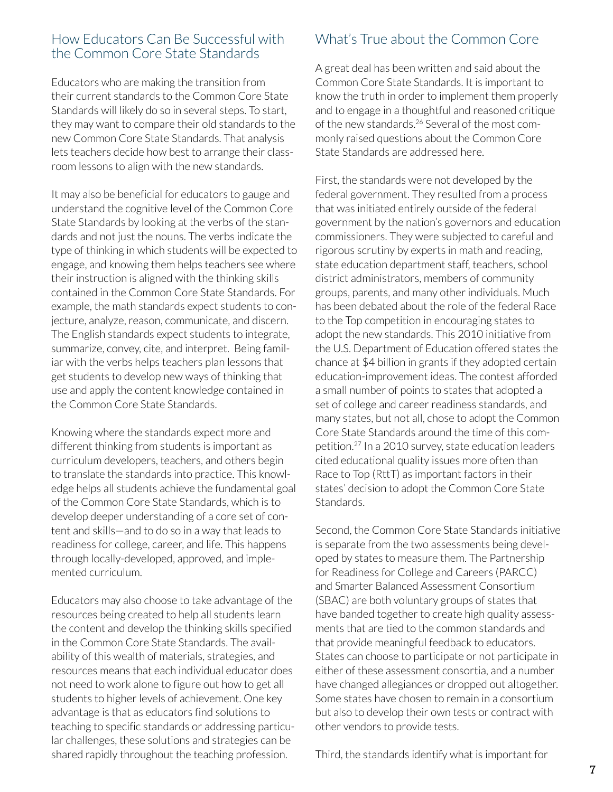#### How Educators Can Be Successful with the Common Core State Standards

Educators who are making the transition from their current standards to the Common Core State Standards will likely do so in several steps. To start, they may want to compare their old standards to the new Common Core State Standards. That analysis lets teachers decide how best to arrange their classroom lessons to align with the new standards.

It may also be beneficial for educators to gauge and understand the cognitive level of the Common Core State Standards by looking at the verbs of the standards and not just the nouns. The verbs indicate the type of thinking in which students will be expected to engage, and knowing them helps teachers see where their instruction is aligned with the thinking skills contained in the Common Core State Standards. For example, the math standards expect students to conjecture, analyze, reason, communicate, and discern. The English standards expect students to integrate, summarize, convey, cite, and interpret. Being familiar with the verbs helps teachers plan lessons that get students to develop new ways of thinking that use and apply the content knowledge contained in the Common Core State Standards.

Knowing where the standards expect more and different thinking from students is important as curriculum developers, teachers, and others begin to translate the standards into practice. This knowledge helps all students achieve the fundamental goal of the Common Core State Standards, which is to develop deeper understanding of a core set of content and skills—and to do so in a way that leads to readiness for college, career, and life. This happens through locally-developed, approved, and implemented curriculum.

Educators may also choose to take advantage of the resources being created to help all students learn the content and develop the thinking skills specified in the Common Core State Standards. The availability of this wealth of materials, strategies, and resources means that each individual educator does not need to work alone to figure out how to get all students to higher levels of achievement. One key advantage is that as educators find solutions to teaching to specific standards or addressing particular challenges, these solutions and strategies can be shared rapidly throughout the teaching profession.

## What's True about the Common Core

A great deal has been written and said about the Common Core State Standards. It is important to know the truth in order to implement them properly and to engage in a thoughtful and reasoned critique of the new standards.26 Several of the most commonly raised questions about the Common Core State Standards are addressed here.

First, the standards were not developed by the federal government. They resulted from a process that was initiated entirely outside of the federal government by the nation's governors and education commissioners. They were subjected to careful and rigorous scrutiny by experts in math and reading, state education department staff, teachers, school district administrators, members of community groups, parents, and many other individuals. Much has been debated about the role of the federal Race to the Top competition in encouraging states to adopt the new standards. This 2010 initiative from the U.S. Department of Education offered states the chance at \$4 billion in grants if they adopted certain education-improvement ideas. The contest afforded a small number of points to states that adopted a set of college and career readiness standards, and many states, but not all, chose to adopt the Common Core State Standards around the time of this competition.27 In a 2010 survey, state education leaders cited educational quality issues more often than Race to Top (RttT) as important factors in their states' decision to adopt the Common Core State Standards.

Second, the Common Core State Standards initiative is separate from the two assessments being developed by states to measure them. The Partnership for Readiness for College and Careers (PARCC) and Smarter Balanced Assessment Consortium (SBAC) are both voluntary groups of states that have banded together to create high quality assessments that are tied to the common standards and that provide meaningful feedback to educators. States can choose to participate or not participate in either of these assessment consortia, and a number have changed allegiances or dropped out altogether. Some states have chosen to remain in a consortium but also to develop their own tests or contract with other vendors to provide tests.

Third, the standards identify what is important for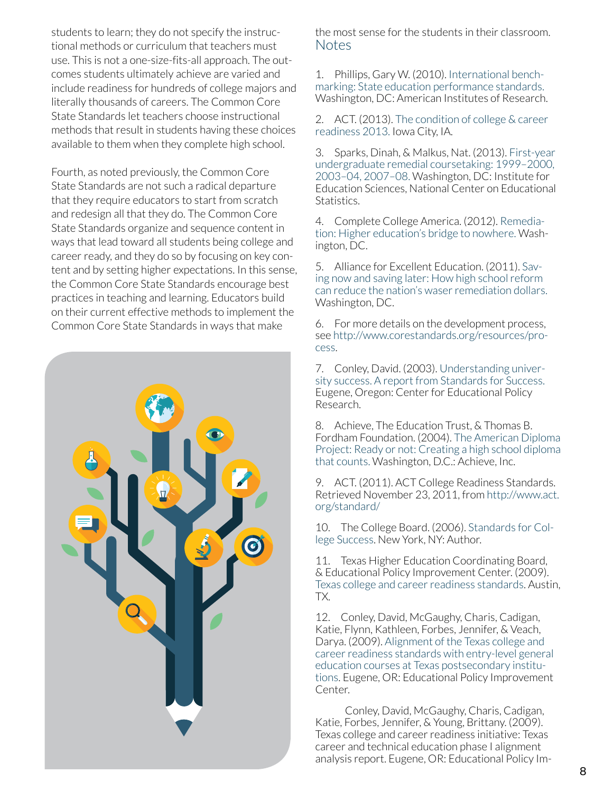students to learn; they do not specify the instructional methods or curriculum that teachers must use. This is not a one-size-fits-all approach. The outcomes students ultimately achieve are varied and include readiness for hundreds of college majors and literally thousands of careers. The Common Core State Standards let teachers choose instructional methods that result in students having these choices available to them when they complete high school.

Fourth, as noted previously, the Common Core State Standards are not such a radical departure that they require educators to start from scratch and redesign all that they do. The Common Core State Standards organize and sequence content in ways that lead toward all students being college and career ready, and they do so by focusing on key content and by setting higher expectations. In this sense, the Common Core State Standards encourage best practices in teaching and learning. Educators build on their current effective methods to implement the Common Core State Standards in ways that make



the most sense for the students in their classroom. Notes

1. Phillips, Gary W. (2010). [International bench](http://www.air.org/sites/default/files/downloads/report/AIR_Int_Benchmarking_State_Ed__Perf_Standards_0.pdf)marking: State education [performance](http://www.air.org/sites/default/files/downloads/report/AIR_Int_Benchmarking_State_Ed__Perf_Standards_0.pdf) standards. Washington, DC: American Institutes of Research.

<span id="page-9-0"></span>2. ACT. (2013). [The condition of college & career](http://www.act.org/research/policymakers/cccr13/pdf/CCCR13-NationalReadinessRpt.pdf)  [readiness](http://www.act.org/research/policymakers/cccr13/pdf/CCCR13-NationalReadinessRpt.pdf) 2013. Iowa City, IA.

<span id="page-9-1"></span>3. Sparks, Dinah, & Malkus, Nat. (2013). [First-year](http://nces.ed.gov/pubs2013/2013013.pdf)  [undergraduate](http://nces.ed.gov/pubs2013/2013013.pdf) remedial coursetaking: 1999–2000, [2003–04,](http://nces.ed.gov/pubs2013/2013013.pdf) 2007–08. Washington, DC: Institute for Education Sciences, National Center on Educational Statistics.

4. Complete College America. (2012). [Remedia](http://www.completecollege.org/docs/CCA-Remediation-final.pdf)tion: Higher [education's](http://www.completecollege.org/docs/CCA-Remediation-final.pdf) bridge to nowhere. Washington, DC.

5. Alliance for Excellent Education. (2011). [Sav](http://all4ed.org/wp-content/uploads/2013/06/SavingNowSavingLaterRemediation.pdf)[ing now and saving later: How high school reform](http://all4ed.org/wp-content/uploads/2013/06/SavingNowSavingLaterRemediation.pdf)  can reduce the nation's waser remediation dollars. Washington, DC.

6. For more details on the development process, see [http://www.corestandards.org/resources/pro](http://www.corestandards.org/resources/process)[cess](http://www.corestandards.org/resources/process).

<span id="page-9-2"></span>7. Conley, David. (2003). [Understanding univer](https://www.epiconline.org/publications/documents/UUS_Complete.pdf)[sity success. A report from Standards for Success.](https://www.epiconline.org/publications/documents/UUS_Complete.pdf) Eugene, Oregon: Center for Educational Policy Research.

<span id="page-9-3"></span>8. Achieve, The Education Trust, & Thomas B. Fordham Foundation. (2004). [The American Diploma](http://www.achieve.org/ReadyorNot)  [Project: Ready or not: Creating a high school diploma](http://www.achieve.org/ReadyorNot)  [that counts.](http://www.achieve.org/ReadyorNot) Washington, D.C.: Achieve, Inc.

9. ACT. (2011). ACT College Readiness Standards. Retrieved November 23, 2011, from [http://www.act.]( http://www.act.org/standard/) [org/standard/]( http://www.act.org/standard/)

<span id="page-9-4"></span>10. The College Board. (2006). [Standards for Col](http://research.collegeboard.org/services/scas/downloads)[lege Success](http://research.collegeboard.org/services/scas/downloads). New York, NY: Author.

11. Texas Higher Education Coordinating Board, & Educational Policy Improvement Center. (2009). [Texas college and career readiness standards](http://www.thecb.state.tx.us/collegereadiness/crs.pdf). Austin, TX.

12. Conley, David, McGaughy, Charis, Cadigan, Katie, Flynn, Kathleen, Forbes, Jennifer, & Veach, Darya. (2009). [Alignment of the Texas college and](http://www.thecb.state.tx.us/files/dmfile/TXValidationStudy1.pdf)  [career readiness standards with entry-level general](http://www.thecb.state.tx.us/files/dmfile/TXValidationStudy1.pdf)  [education courses at Texas postsecondary institu](http://www.thecb.state.tx.us/files/dmfile/TXValidationStudy1.pdf)[tions](http://www.thecb.state.tx.us/files/dmfile/TXValidationStudy1.pdf). Eugene, OR: Educational Policy Improvement Center.

 Conley, David, McGaughy, Charis, Cadigan, Katie, Forbes, Jennifer, & Young, Brittany. (2009). Texas college and career readiness initiative: Texas career and technical education phase I alignment analysis report. Eugene, OR: Educational Policy Im